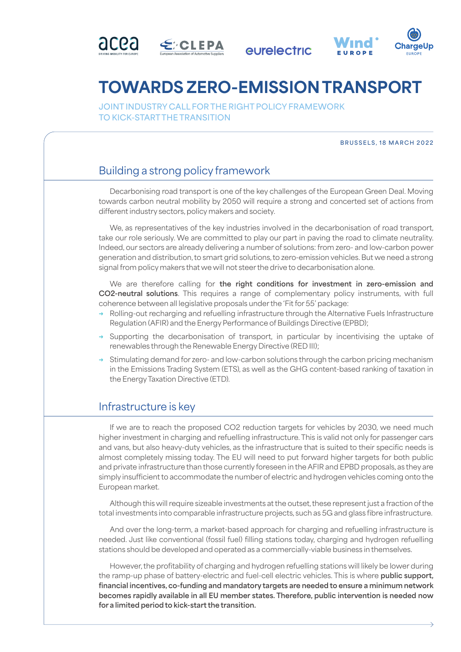







## TOWARDS ZERO-EMISSION TRANSPORT

**JOINT INDUSTRY CALL FOR THE RIGHT POLICY FRAMEWORK TO KICK-START THE TRANSITION**

## **BRUSSELS, 18 MARCH 2022**

## Building a strong policy framework

Decarbonising road transport is one of the key challenges of the European Green Deal. Moving towards carbon neutral mobility by 2050 will require a strong and concerted set of actions from different industry sectors, policy makers and society.

We, as representatives of the key industries involved in the decarbonisation of road transport, take our role seriously. We are committed to play our part in paving the road to climate neutrality. Indeed, our sectors are already delivering a number of solutions: from zero- and low-carbon power generation and distribution, to smart grid solutions, to zero-emission vehicles. But we need a strong signal from policy makers that we will not steer the drive to decarbonisation alone.

We are therefore calling for **the right conditions for investment in zero-emission and CO2-neutral solutions**. This requires a range of complementary policy instruments, with full coherence between all legislative proposals under the 'Fit for 55' package:

- Rolling-out recharging and refuelling infrastructure through the Alternative Fuels Infrastructure Regulation (AFIR) and the Energy Performance of Buildings Directive (EPBD);
- → Supporting the decarbonisation of transport, in particular by incentivising the uptake of renewables through the Renewable Energy Directive (RED III);
- → Stimulating demand for zero- and low-carbon solutions through the carbon pricing mechanism in the Emissions Trading System (ETS), as well as the GHG content-based ranking of taxation in the Energy Taxation Directive (ETD).

## Infrastructure is key

If we are to reach the proposed CO2 reduction targets for vehicles by 2030, we need much higher investment in charging and refuelling infrastructure. This is valid not only for passenger cars and vans, but also heavy-duty vehicles, as the infrastructure that is suited to their specific needs is almost completely missing today. The EU will need to put forward higher targets for both public and private infrastructure than those currently foreseen in the AFIR and EPBD proposals, as they are simply insufficient to accommodate the number of electric and hydrogen vehicles coming onto the European market.

Although this will require sizeable investments at the outset, these represent just a fraction of the total investments into comparable infrastructure projects, such as 5G and glass fibre infrastructure.

And over the long-term, a market-based approach for charging and refuelling infrastructure is needed. Just like conventional (fossil fuel) filling stations today, charging and hydrogen refuelling stations should be developed and operated as a commercially-viable business in themselves.

However, the profitability of charging and hydrogen refuelling stations will likely be lower during the ramp-up phase of battery-electric and fuel-cell electric vehicles. This is where **public support, financial incentives, co-funding and mandatory targets are needed to ensure a minimum network becomes rapidly available in all EU member states. Therefore, public intervention is needed now for a limited period to kick-start the transition.**